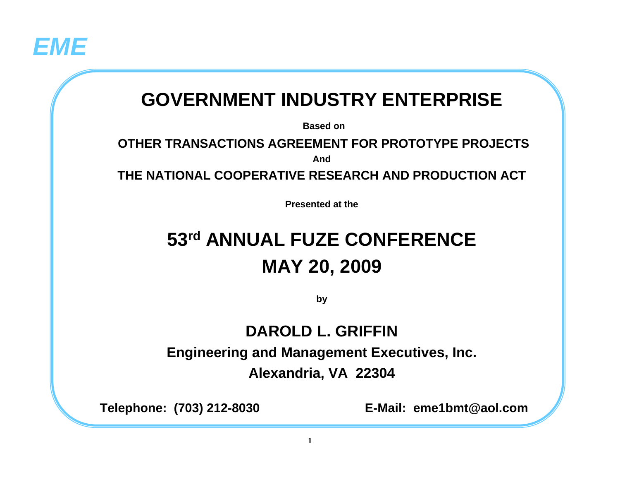

# **GOVERNMENT INDUSTRY ENTERPRISE**

**Based on**

#### **OTHER TRANSACTIONS AGREEMENT FOR PROTOTYPE PROJECTSAnd**

**THE NATIONAL COOPERATIVE RESEARCH AND PRODUCTION ACT**

**Presented at the**

# **53rd ANNUAL FUZE CONFERENCEMAY 20, 2009**

**by**

#### **DAROLD L. GRIFFIN**

**Engineering and Management Executives, Inc.**

**Alexandria, VA 22304**

**Telephone: (703) 212-8030 E-Mail: eme1bmt@aol.com**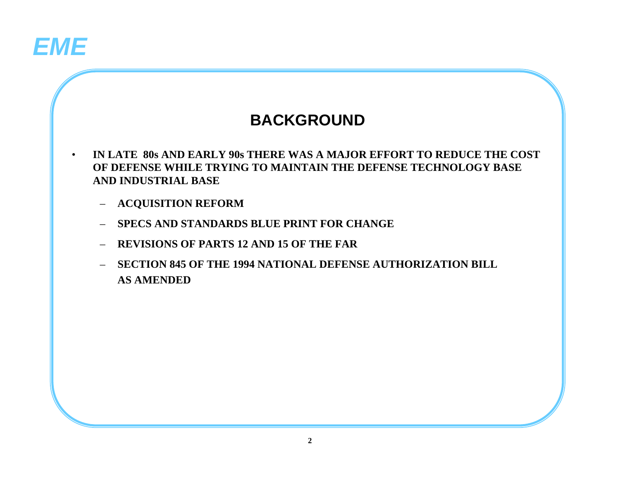

## **BACKGROUND**

- **IN LATE 80s AND EARLY 90s THERE WAS A MAJOR EFFORT TO REDUCE THE COST OF DEFENSE WHILE TRYING TO MAINTAIN THE DEFENSE TECHNOLOGY BASE AND INDUSTRIAL BASE**
	- **ACQUISITION REFORM**
	- **SPECS AND STANDARDS BLUE PRINT FOR CHANGE**
	- **REVISIONS OF PARTS 12 AND 15 OF THE FAR**
	- **SECTION 845 OF THE 1994 NATIONAL DEFENSE AUTHORIZATION BILL AS AMENDED**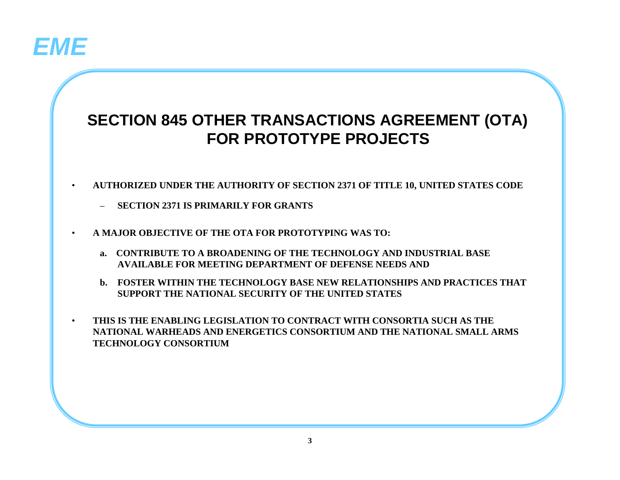

## **SECTION 845 OTHER TRANSACTIONS AGREEMENT (OTA) FOR PROTOTYPE PROJECTS**

- **AUTHORIZED UNDER THE AUTHORITY OF SECTION 2371 OF TITLE 10, UNITED STATES CODE**
	- **SECTION 2371 IS PRIMARILY FOR GRANTS**
- **A MAJOR OBJECTIVE OF THE OTA FOR PROTOTYPING WAS TO:**
	- **a. CONTRIBUTE TO A BROADENING OF THE TECHNOLOGY AND INDUSTRIAL BASE AVAILABLE FOR MEETING DEPARTMENT OF DEFENSE NEEDS AND**
	- **b. FOSTER WITHIN THE TECHNOLOGY BASE NEW RELATIONSHIPS AND PRACTICES THAT SUPPORT THE NATIONAL SECURITY OF THE UNITED STATES**
- **THIS IS THE ENABLING LEGISLATION TO CONTRACT WITH CONSORTIA SUCH AS THE NATIONAL WARHEADS AND ENERGETICS CONSORTIUM AND THE NATIONAL SMALL ARMS TECHNOLOGY CONSORTIUM**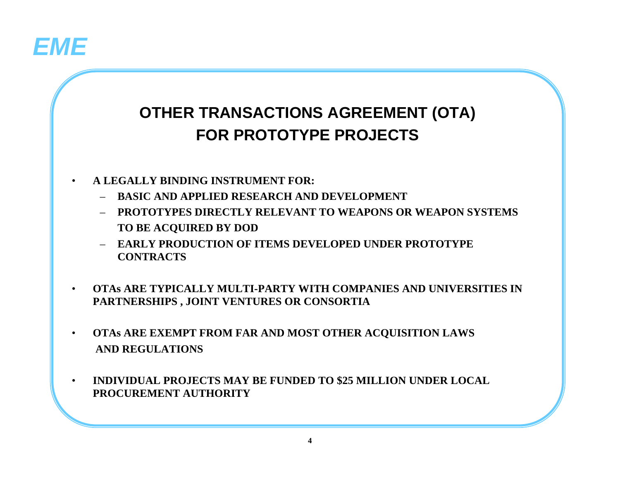

# **OTHER TRANSACTIONS AGREEMENT (OTA) FOR PROTOTYPE PROJECTS**

- **A LEGALLY BINDING INSTRUMENT FOR:**
	- **BASIC AND APPLIED RESEARCH AND DEVELOPMENT**
	- **PROTOTYPES DIRECTLY RELEVANT TO WEAPONS OR WEAPON SYSTEMSTO BE ACQUIRED BY DOD**
	- **EARLY PRODUCTION OF ITEMS DEVELOPED UNDER PROTOTYPE CONTRACTS**
- **OTAs ARE TYPICALLY MULTI-PARTY WITH COMPANIES AND UNIVERSITIES IN PARTNERSHIPS , JOINT VENTURES OR CONSORTIA**
- **OTAs ARE EXEMPT FROM FAR AND MOST OTHER ACQUISITION LAWS AND REGULATIONS**
- **INDIVIDUAL PROJECTS MAY BE FUNDED TO \$25 MILLION UNDER LOCAL PROCUREMENT AUTHORITY**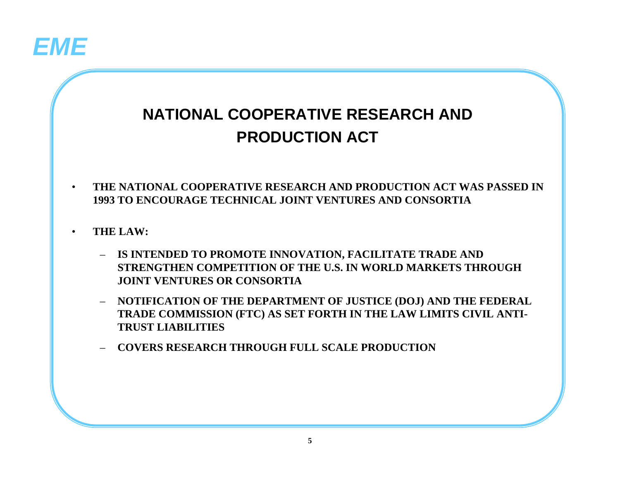

# **NATIONAL COOPERATIVE RESEARCH AND PRODUCTION ACT**

- **THE NATIONAL COOPERATIVE RESEARCH AND PRODUCTION ACT WAS PASSED IN 1993 TO ENCOURAGE TECHNICAL JOINT VENTURES AND CONSORTIA**
- **THE LAW:**
	- **IS INTENDED TO PROMOTE INNOVATION, FACILITATE TRADE AND STRENGTHEN COMPETITION OF THE U.S. IN WORLD MARKETS THROUGH JOINT VENTURES OR CONSORTIA**
	- **NOTIFICATION OF THE DEPARTMENT OF JUSTICE (DOJ) AND THE FEDERAL TRADE COMMISSION (FTC) AS SET FORTH IN THE LAW LIMITS CIVIL ANTI-TRUST LIABILITIES**
	- **COVERS RESEARCH THROUGH FULL SCALE PRODUCTION**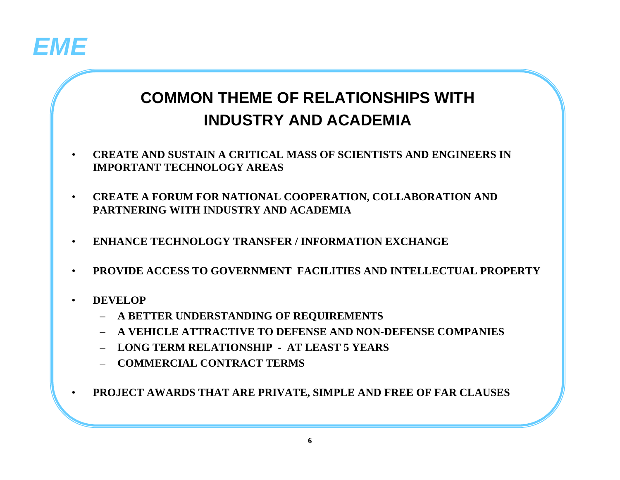

## **COMMON THEME OF RELATIONSHIPS WITH INDUSTRY AND ACADEMIA**

- **CREATE AND SUSTAIN A CRITICAL MASS OF SCIENTISTS AND ENGINEERS IN IMPORTANT TECHNOLOGY AREAS**
- **CREATE A FORUM FOR NATIONAL COOPERATION, COLLABORATION AND PARTNERING WITH INDUSTRY AND ACADEMIA**
- **ENHANCE TECHNOLOGY TRANSFER / INFORMATION EXCHANGE**
- **PROVIDE ACCESS TO GOVERNMENT FACILITIES AND INTELLECTUAL PROPERTY**
- **DEVELOP**
	- **A BETTER UNDERSTANDING OF REQUIREMENTS**
	- **A VEHICLE ATTRACTIVE TO DEFENSE AND NON-DEFENSE COMPANIES**
	- **LONG TERM RELATIONSHIP AT LEAST 5 YEARS**
	- **COMMERCIAL CONTRACT TERMS**
- **PROJECT AWARDS THAT ARE PRIVATE, SIMPLE AND FREE OF FAR CLAUSES**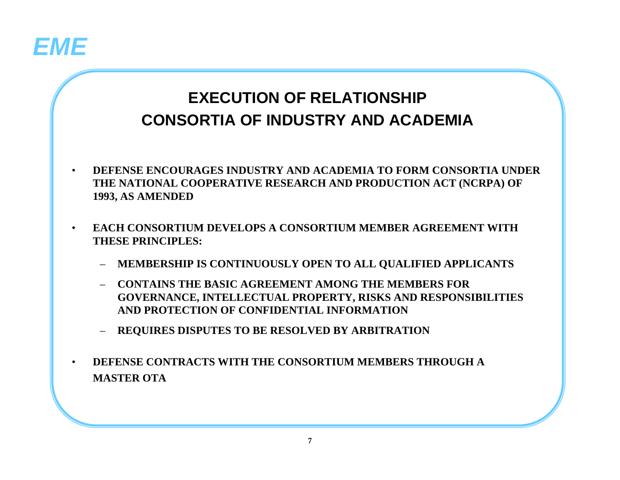

# **EXECUTION OF RELATIONSHIPCONSORTIA OF INDUSTRY AND ACADEMIA**

- **DEFENSE ENCOURAGES INDUSTRY AND ACADEMIA TO FORM CONSORTIA UNDER THE NATIONAL COOPERATIVE RESEARCH AND PRODUCTION ACT (NCRPA) OF 1993, AS AMENDED**
- **EACH CONSORTIUM DEVELOPS A CONSORTIUM MEMBER AGREEMENT WITH THESE PRINCIPLES:**
	- **MEMBERSHIP IS CONTINUOUSLY OPEN TO ALL QUALIFIED APPLICANTS**
	- **CONTAINS THE BASIC AGREEMENT AMONG THE MEMBERS FOR GOVERNANCE, INTELLECTUAL PROPERTY, RISKS AND RESPONSIBILITIES AND PROTECTION OF CONFIDENTIAL INFORMATION**
	- **REQUIRES DISPUTES TO BE RESOLVED BY ARBITRATION**
- **DEFENSE CONTRACTS WITH THE CONSORTIUM MEMBERS THROUGH A MASTER OTA**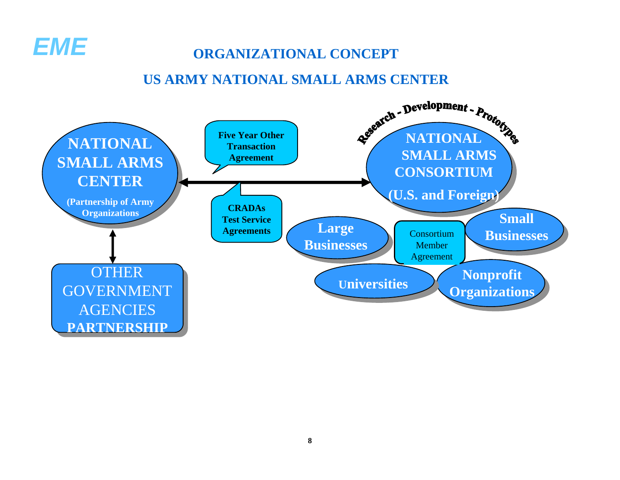

#### **ORGANIZATIONAL CONCEPT**

#### **US ARMY NATIONAL SMALL ARMS CENTER**

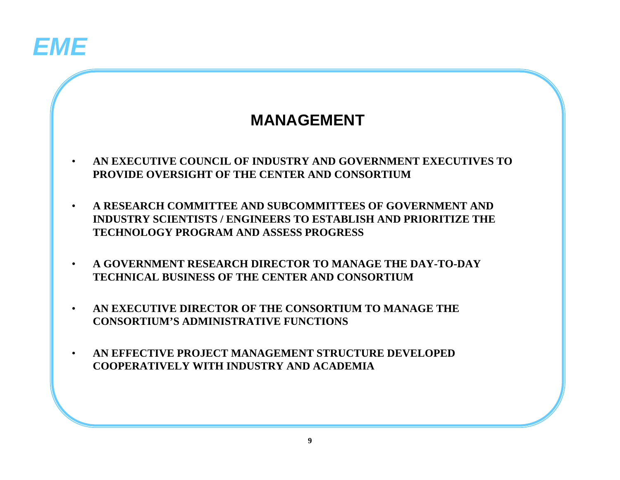

### **MANAGEMENT**

- **AN EXECUTIVE COUNCIL OF INDUSTRY AND GOVERNMENT EXECUTIVES TO PROVIDE OVERSIGHT OF THE CENTER AND CONSORTIUM**
- **A RESEARCH COMMITTEE AND SUBCOMMITTEES OF GOVERNMENT AND INDUSTRY SCIENTISTS / ENGINEERS TO ESTABLISH AND PRIORITIZE THE TECHNOLOGY PROGRAM AND ASSESS PROGRESS**
- **A GOVERNMENT RESEARCH DIRECTOR TO MANAGE THE DAY-TO-DAY TECHNICAL BUSINESS OF THE CENTER AND CONSORTIUM**
- **AN EXECUTIVE DIRECTOR OF THE CONSORTIUM TO MANAGE THE CONSORTIUM'S ADMINISTRATIVE FUNCTIONS**
- **AN EFFECTIVE PROJECT MANAGEMENT STRUCTURE DEVELOPED COOPERATIVELY WITH INDUSTRY AND ACADEMIA**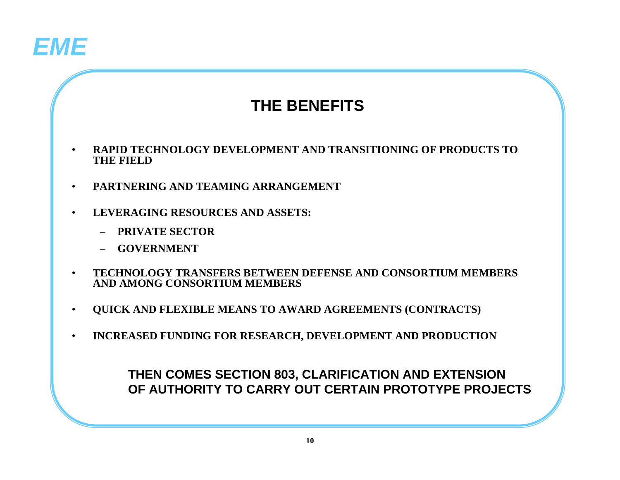

### **THE BENEFITS**

- **RAPID TECHNOLOGY DEVELOPMENT AND TRANSITIONING OF PRODUCTS TO THE FIELD**
- **PARTNERING AND TEAMING ARRANGEMENT**
- **LEVERAGING RESOURCES AND ASSETS:**
	- **PRIVATE SECTOR**
	- **GOVERNMENT**
- **TECHNOLOGY TRANSFERS BETWEEN DEFENSE AND CONSORTIUM MEMBERS AND AMONG CONSORTIUM MEMBERS**
- **QUICK AND FLEXIBLE MEANS TO AWARD AGREEMENTS (CONTRACTS)**
- **INCREASED FUNDING FOR RESEARCH, DEVELOPMENT AND PRODUCTION**

**THEN COMES SECTION 803, CLARIFICATION AND EXTENSION OF AUTHORITY TO CARRY OUT CERTAIN PROTOTYPE PROJECTS**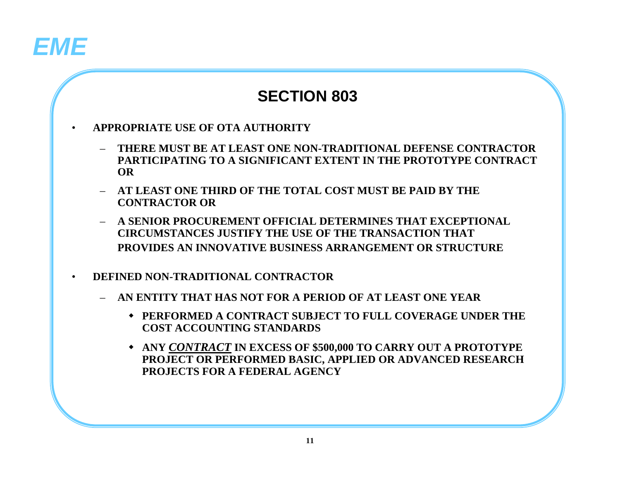# *EME*

### **SECTION 803**

- **APPROPRIATE USE OF OTA AUTHORITY**
	- **THERE MUST BE AT LEAST ONE NON-TRADITIONAL DEFENSE CONTRACTOR PARTICIPATING TO A SIGNIFICANT EXTENT IN THE PROTOTYPE CONTRACT OR**
	- **AT LEAST ONE THIRD OF THE TOTAL COST MUST BE PAID BY THE CONTRACTOR OR**
	- **A SENIOR PROCUREMENT OFFICIAL DETERMINES THAT EXCEPTIONAL CIRCUMSTANCES JUSTIFY THE USE OF THE TRANSACTION THAT PROVIDES AN INNOVATIVE BUSINESS ARRANGEMENT OR STRUCTURE**
- **DEFINED NON-TRADITIONAL CONTRACTOR**
	- **AN ENTITY THAT HAS NOT FOR A PERIOD OF AT LEAST ONE YEAR**
		- **PERFORMED A CONTRACT SUBJECT TO FULL COVERAGE UNDER THE COST ACCOUNTING STANDARDS**
		- **ANY** *CONTRACT* **IN EXCESS OF \$500,000 TO CARRY OUT A PROTOTYPE PROJECT OR PERFORMED BASIC, APPLIED OR ADVANCED RESEARCH PROJECTS FOR A FEDERAL AGENCY**